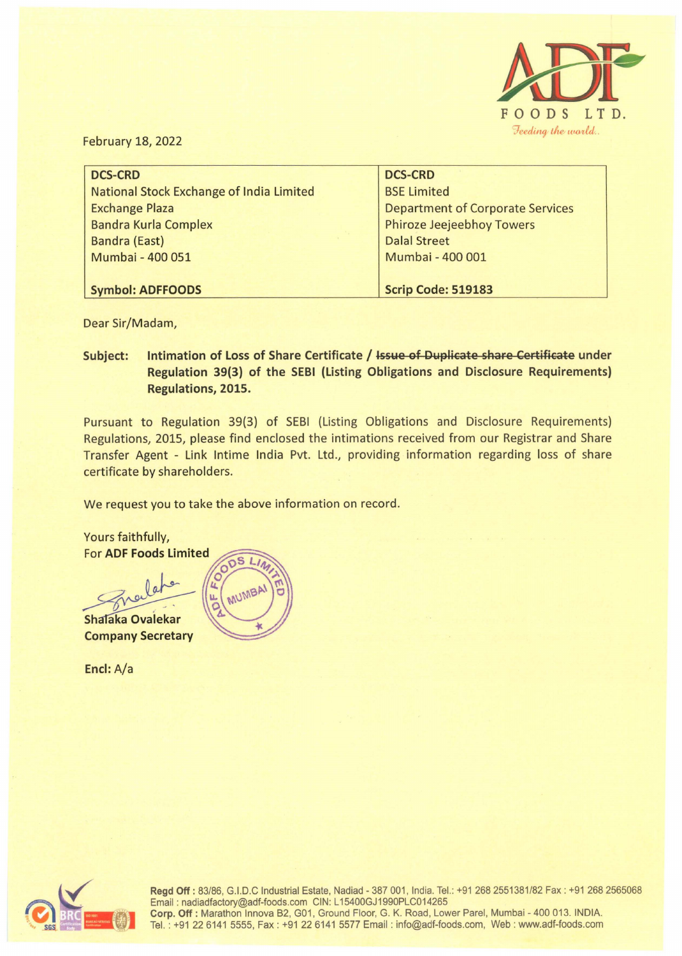

February 18, 2022

| <b>DCS-CRD</b>                           | <b>DCS-CRD</b>                          |
|------------------------------------------|-----------------------------------------|
| National Stock Exchange of India Limited | <b>BSE Limited</b>                      |
| <b>Exchange Plaza</b>                    | <b>Department of Corporate Services</b> |
| <b>Bandra Kurla Complex</b>              | <b>Phiroze Jeejeebhoy Towers</b>        |
| <b>Bandra (East)</b>                     | <b>Dalal Street</b>                     |
| Mumbai - 400 051                         | Mumbai - 400 001                        |
|                                          |                                         |
| <b>Symbol: ADFFOODS</b>                  | Scrip Code: 519183                      |

Dear Sir/Madam,

**Subject:** Intimation of Loss of Share Certificate / **Issue of Duplicate share Certificate** under **Regulation 39(3) of the SEBI (Listing Obligations and Disclosure Requirements) Regulations, 2015.** 

Pursuant to Regulation 39(3) of SESI (Listing Obligations and Disclosure Requirements) Regulations, 2015, please find enclosed the intimations received from our Registrar and Share Transfer Agent - Link lntime India Pvt. Ltd., providing information regarding loss of share certificate by shareholders.

We request you to take the above information on record.

Yours faithfully, **For ADF Foods Limited**  $\overline{S}$ MUMBAI Shalaka Ovalekar **Company Secretary** 

**Encl:** A/a



Regd Off: 83/86, G.I.D.C Industrial Estate, Nadiad - 387 001, India. Tel.: +91 268 2551381/82 Fax : +91 268 2565068 Email : nadiadfactory@adf-foods.com CIN: L 15400GJ1990PLC014265 **Corp. Off:** Marathon lnnova B2, G01, Ground Floor, G. K. Road, Lower Pare!, Mumbai - 400 013. INDIA. Tel. : +91226141 5555, Fax : +91 22 6141 5577 Email : info@adf-foods.com, Web : www.adf-foods.com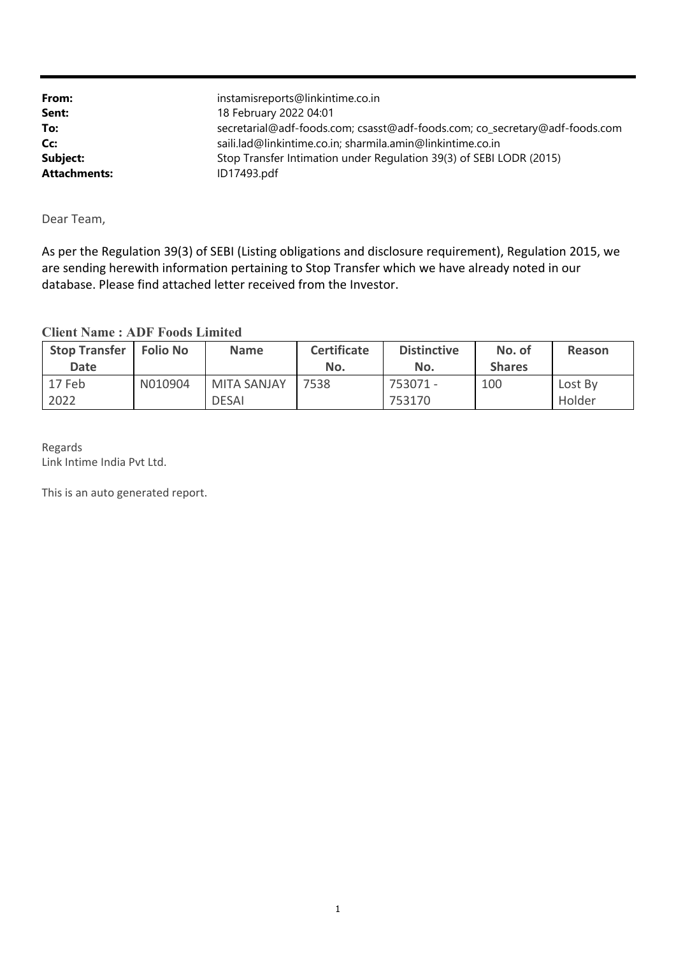| From:               | instamisreports@linkintime.co.in                                            |
|---------------------|-----------------------------------------------------------------------------|
| Sent:               | 18 February 2022 04:01                                                      |
| To:                 | secretarial@adf-foods.com; csasst@adf-foods.com; co_secretary@adf-foods.com |
| Cc:                 | saili.lad@linkintime.co.in; sharmila.amin@linkintime.co.in                  |
| Subject:            | Stop Transfer Intimation under Regulation 39(3) of SEBI LODR (2015)         |
| <b>Attachments:</b> | ID17493.pdf                                                                 |

Dear Team,

As per the Regulation 39(3) of SEBI (Listing obligations and disclosure requirement), Regulation 2015, we are sending herewith information pertaining to Stop Transfer which we have already noted in our database. Please find attached letter received from the Investor.

## **Client Name : ADF Foods Limited**

| <b>Stop Transfer</b><br>Date | <b>Folio No</b> | <b>Name</b>                        | <b>Certificate</b><br>No. | <b>Distinctive</b><br>No. | No. of<br><b>Shares</b> | Reason            |
|------------------------------|-----------------|------------------------------------|---------------------------|---------------------------|-------------------------|-------------------|
| 17 Feb<br>2022               | N010904         | <b>MITA SANJAY</b><br><b>DESAI</b> | 7538                      | 753071 -<br>753170        | 100                     | Lost By<br>Holder |

Regards Link Intime India Pvt Ltd.

This is an auto generated report.